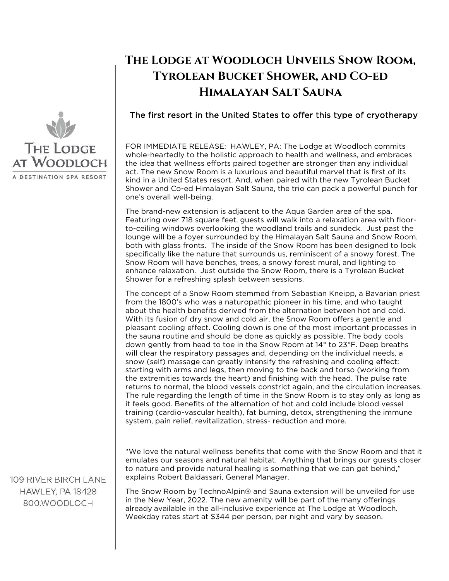

## **The Lodge at Woodloch Unveils Snow Room, Tyrolean Bucket Shower, and Co-ed Himalayan Salt Sauna**

## The first resort in the United States to offer this type of cryotherapy

FOR IMMEDIATE RELEASE: HAWLEY, PA: The Lodge at Woodloch commits whole-heartedly to the holistic approach to health and wellness, and embraces the idea that wellness efforts paired together are stronger than any individual act. The new Snow Room is a luxurious and beautiful marvel that is first of its kind in a United States resort. And, when paired with the new Tyrolean Bucket Shower and Co-ed Himalayan Salt Sauna, the trio can pack a powerful punch for one's overall well-being.

The brand-new extension is adjacent to the Aqua Garden area of the spa. Featuring over 718 square feet, guests will walk into a relaxation area with floorto-ceiling windows overlooking the woodland trails and sundeck. Just past the lounge will be a foyer surrounded by the Himalayan Salt Sauna and Snow Room, both with glass fronts. The inside of the Snow Room has been designed to look specifically like the nature that surrounds us, reminiscent of a snowy forest. The Snow Room will have benches, trees, a snowy forest mural, and lighting to enhance relaxation. Just outside the Snow Room, there is a Tyrolean Bucket Shower for a refreshing splash between sessions.

The concept of a Snow Room stemmed from Sebastian Kneipp, a Bavarian priest from the 1800's who was a naturopathic pioneer in his time, and who taught about the health benefits derived from the alternation between hot and cold. With its fusion of dry snow and cold air, the Snow Room offers a gentle and pleasant cooling effect. Cooling down is one of the most important processes in the sauna routine and should be done as quickly as possible. The body cools down gently from head to toe in the Snow Room at 14° to 23°F. Deep breaths will clear the respiratory passages and, depending on the individual needs, a snow (self) massage can greatly intensify the refreshing and cooling effect: starting with arms and legs, then moving to the back and torso (working from the extremities towards the heart) and finishing with the head. The pulse rate returns to normal, the blood vessels constrict again, and the circulation increases. The rule regarding the length of time in the Snow Room is to stay only as long as it feels good. Benefits of the alternation of hot and cold include blood vessel training (cardio-vascular health), fat burning, detox, strengthening the immune system, pain relief, revitalization, stress- reduction and more.

"We love the natural wellness benefits that come with the Snow Room and that it emulates our seasons and natural habitat. Anything that brings our guests closer to nature and provide natural healing is something that we can get behind," explains Robert Baldassari, General Manager.

The Snow Room by TechnoAlpin® and Sauna extension will be unveiled for use in the New Year, 2022. The new amenity will be part of the many offerings already available in the all-inclusive experience at The Lodge at Woodloch. Weekday rates start at \$344 per person, per night and vary by season.

109 RIVER BIRCH LANE HAWLEY, PA 18428 800.WOODLOCH